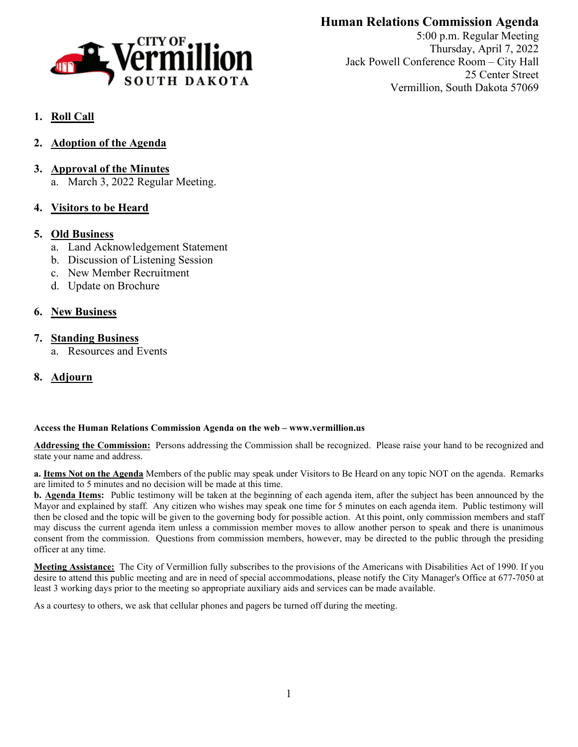

# **Human Relations Commission Agenda**

5:00 p.m. Regular Meeting Thursday, April 7, 2022 Jack Powell Conference Room – City Hall 25 Center Street Vermillion, South Dakota 57069

# **1. Roll Call**

- **2. Adoption of the Agenda**
- **3. Approval of the Minutes** a. March 3, 2022 Regular Meeting.
- **4. Visitors to be Heard**

## **5. Old Business**

- a. Land Acknowledgement Statement
- b. Discussion of Listening Session
- c. New Member Recruitment
- d. Update on Brochure

## **6. New Business**

## **7. Standing Business**

- a. Resources and Events
- **8. Adjourn**

### **Access the Human Relations Commission Agenda on the web – www.vermillion.us**

**Addressing the Commission:** Persons addressing the Commission shall be recognized. Please raise your hand to be recognized and state your name and address.

**a. Items Not on the Agenda** Members of the public may speak under Visitors to Be Heard on any topic NOT on the agenda. Remarks are limited to 5 minutes and no decision will be made at this time.

**b. Agenda Items:** Public testimony will be taken at the beginning of each agenda item, after the subject has been announced by the Mayor and explained by staff. Any citizen who wishes may speak one time for 5 minutes on each agenda item. Public testimony will then be closed and the topic will be given to the governing body for possible action. At this point, only commission members and staff may discuss the current agenda item unless a commission member moves to allow another person to speak and there is unanimous consent from the commission. Questions from commission members, however, may be directed to the public through the presiding officer at any time.

**Meeting Assistance:** The City of Vermillion fully subscribes to the provisions of the Americans with Disabilities Act of 1990. If you desire to attend this public meeting and are in need of special accommodations, please notify the City Manager's Office at 677-7050 at least 3 working days prior to the meeting so appropriate auxiliary aids and services can be made available.

As a courtesy to others, we ask that cellular phones and pagers be turned off during the meeting.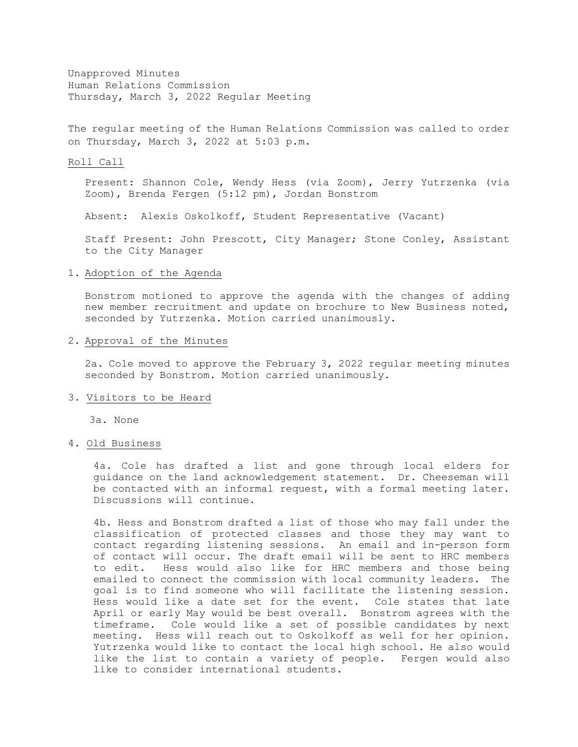Unapproved Minutes Human Relations Commission Thursday, March 3, 2022 Regular Meeting

The regular meeting of the Human Relations Commission was called to order on Thursday, March 3, 2022 at 5:03 p.m.

#### Roll Call

Present: Shannon Cole, Wendy Hess (via Zoom), Jerry Yutrzenka (via Zoom), Brenda Fergen (5:12 pm), Jordan Bonstrom

Absent: Alexis Oskolkoff, Student Representative (Vacant)

Staff Present: John Prescott, City Manager; Stone Conley, Assistant to the City Manager

#### 1. Adoption of the Agenda

Bonstrom motioned to approve the agenda with the changes of adding new member recruitment and update on brochure to New Business noted, seconded by Yutrzenka. Motion carried unanimously.

## 2. Approval of the Minutes

2a. Cole moved to approve the February 3, 2022 regular meeting minutes seconded by Bonstrom. Motion carried unanimously.

#### 3. Visitors to be Heard

3a. None

#### 4. Old Business

4a. Cole has drafted a list and gone through local elders for guidance on the land acknowledgement statement. Dr. Cheeseman will be contacted with an informal request, with a formal meeting later. Discussions will continue.

4b. Hess and Bonstrom drafted a list of those who may fall under the classification of protected classes and those they may want to contact regarding listening sessions. An email and in-person form of contact will occur. The draft email will be sent to HRC members<br>to edit. Hess would also like for HRC members and those being Hess would also like for HRC members and those being emailed to connect the commission with local community leaders. The goal is to find someone who will facilitate the listening session. Hess would like a date set for the event. Cole states that late April or early May would be best overall. Bonstrom agrees with the timeframe. Cole would like a set of possible candidates by next meeting. Hess will reach out to Oskolkoff as well for her opinion. Yutrzenka would like to contact the local high school. He also would like the list to contain a variety of people. Fergen would also like to consider international students.